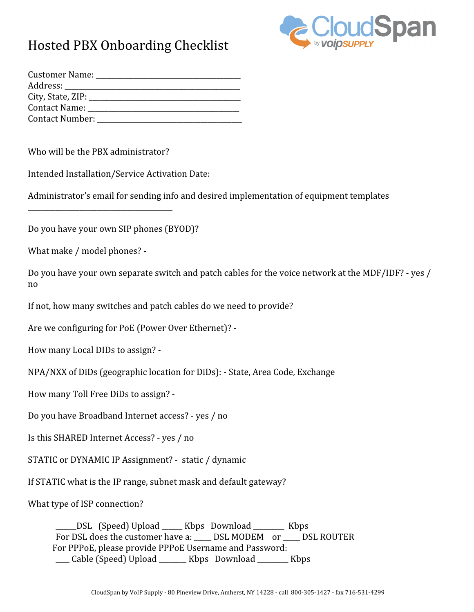## Hosted PBX Onboarding Checklist



| Customer Name:         |
|------------------------|
| Address: _____________ |
|                        |
| Contact Name:          |
| Contact Number:        |

Who will be the PBX administrator?

\_\_\_\_\_\_\_\_\_\_\_\_\_\_\_\_\_\_\_\_\_\_\_\_\_\_\_\_\_\_\_\_\_\_\_\_\_\_\_\_\_\_

Intended Installation/Service Activation Date:

Administrator's email for sending info and desired implementation of equipment templates

Do you have your own SIP phones (BYOD)?

What make / model phones? -

Do you have your own separate switch and patch cables for the voice network at the MDF/IDF? - yes / no

If not, how many switches and patch cables do we need to provide?

Are we configuring for PoE (Power Over Ethernet)? -

How many Local DIDs to assign? -

NPA/NXX of DiDs (geographic location for DiDs): - State, Area Code, Exchange

How many Toll Free DiDs to assign? -

Do you have Broadband Internet access? - yes / no

Is this SHARED Internet Access? - yes / no

STATIC or DYNAMIC IP Assignment? - static / dynamic

If STATIC what is the IP range, subnet mask and default gateway?

What type of ISP connection?

\_\_\_\_\_\_DSL (Speed) Upload \_\_\_\_\_\_ Kbps Download \_\_\_\_\_\_\_\_\_ Kbps For DSL does the customer have a: \_\_\_\_\_ DSL MODEM or \_\_\_\_ DSL ROUTER For PPPoE, please provide PPPoE Username and Password: \_\_\_\_ Cable (Speed) Upload \_\_\_\_\_\_\_\_ Kbps Download \_\_\_\_\_\_\_\_\_ Kbps